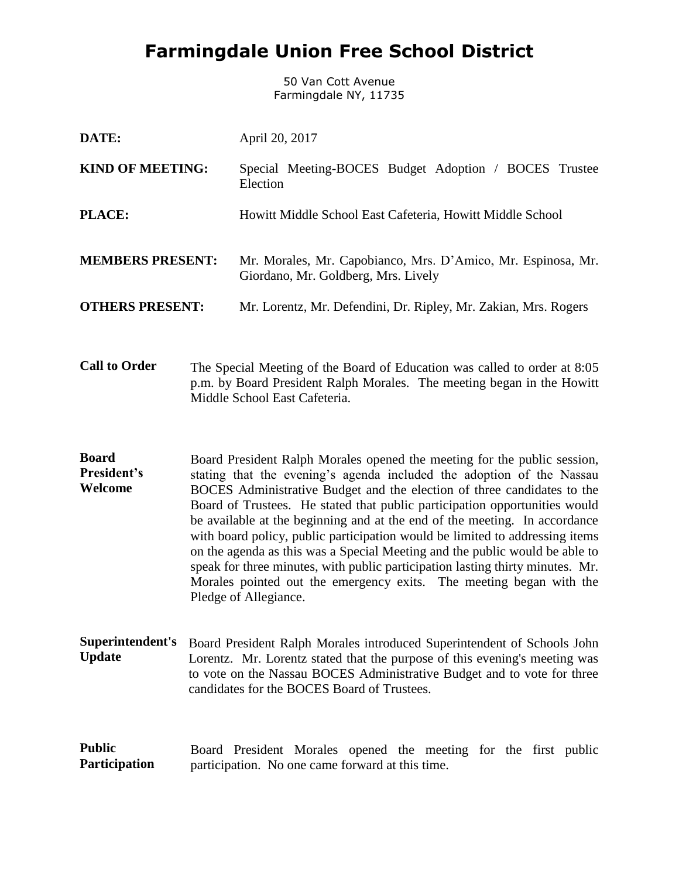## **Farmingdale Union Free School District**

50 Van Cott Avenue Farmingdale NY, 11735

| DATE:                   | April 20, 2017                                                                                      |
|-------------------------|-----------------------------------------------------------------------------------------------------|
| <b>KIND OF MEETING:</b> | Special Meeting-BOCES Budget Adoption / BOCES Trustee<br>Election                                   |
| <b>PLACE:</b>           | Howitt Middle School East Cafeteria, Howitt Middle School                                           |
| <b>MEMBERS PRESENT:</b> | Mr. Morales, Mr. Capobianco, Mrs. D'Amico, Mr. Espinosa, Mr.<br>Giordano, Mr. Goldberg, Mrs. Lively |
| <b>OTHERS PRESENT:</b>  | Mr. Lorentz, Mr. Defendini, Dr. Ripley, Mr. Zakian, Mrs. Rogers                                     |

**Call to Order** The Special Meeting of the Board of Education was called to order at 8:05 p.m. by Board President Ralph Morales. The meeting began in the Howitt Middle School East Cafeteria.

**Board President's Welcome** Board President Ralph Morales opened the meeting for the public session, stating that the evening's agenda included the adoption of the Nassau BOCES Administrative Budget and the election of three candidates to the Board of Trustees. He stated that public participation opportunities would be available at the beginning and at the end of the meeting. In accordance with board policy, public participation would be limited to addressing items on the agenda as this was a Special Meeting and the public would be able to speak for three minutes, with public participation lasting thirty minutes. Mr. Morales pointed out the emergency exits. The meeting began with the Pledge of Allegiance.

**Superintendent's Update** Board President Ralph Morales introduced Superintendent of Schools John Lorentz. Mr. Lorentz stated that the purpose of this evening's meeting was to vote on the Nassau BOCES Administrative Budget and to vote for three candidates for the BOCES Board of Trustees.

**Public Participation** Board President Morales opened the meeting for the first public participation. No one came forward at this time.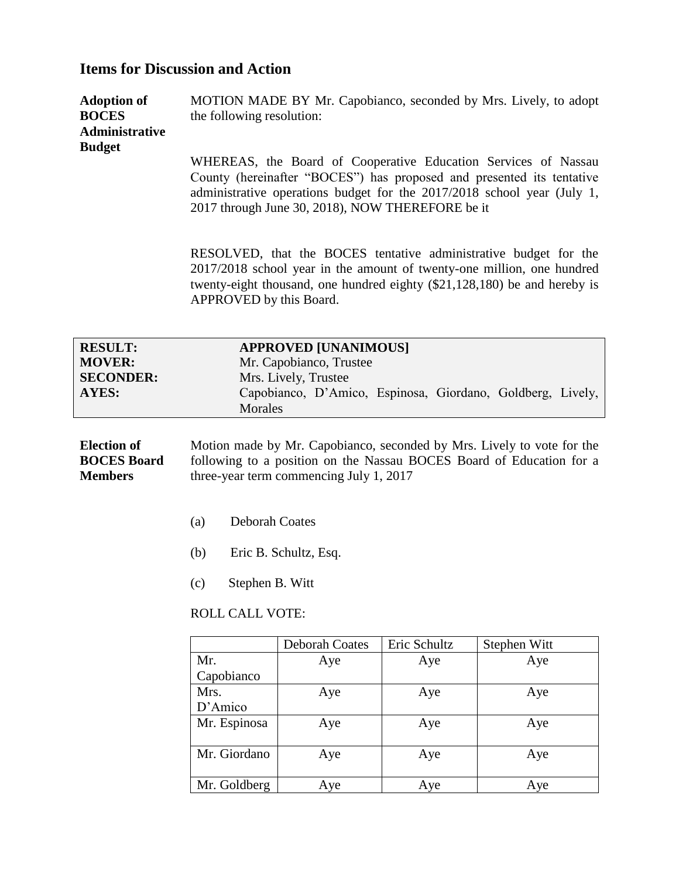## **Items for Discussion and Action**

| <b>Adoption of</b> | MOTION MADE BY Mr. Capobianco, seconded by Mrs. Lively, to adopt         |
|--------------------|--------------------------------------------------------------------------|
| <b>BOCES</b>       | the following resolution:                                                |
| Administrative     |                                                                          |
| <b>Budget</b>      |                                                                          |
|                    | WHEREAS, the Board of Cooperative Education Services of Nassau           |
|                    | County (parainofter "DOCES") has represent and represented its tentative |

County (hereinafter "BOCES") has proposed and presented its tentative administrative operations budget for the 2017/2018 school year (July 1, 2017 through June 30, 2018), NOW THEREFORE be it

RESOLVED, that the BOCES tentative administrative budget for the 2017/2018 school year in the amount of twenty-one million, one hundred twenty-eight thousand, one hundred eighty (\$21,128,180) be and hereby is APPROVED by this Board.

| <b>RESULT:</b><br><b>MOVER:</b><br><b>SECONDER:</b><br>AYES: |     | <b>APPROVED [UNANIMOUS]</b><br>Mr. Capobianco, Trustee<br>Mrs. Lively, Trustee<br>Capobianco, D'Amico, Espinosa, Giordano, Goldberg, Lively,<br><b>Morales</b>                            |
|--------------------------------------------------------------|-----|-------------------------------------------------------------------------------------------------------------------------------------------------------------------------------------------|
| Election of<br><b>BOCES</b> Board<br><b>Members</b>          |     | Motion made by Mr. Capobianco, seconded by Mrs. Lively to vote for the<br>following to a position on the Nassau BOCES Board of Education for a<br>three-year term commencing July 1, 2017 |
|                                                              | (a) | <b>Deborah Coates</b>                                                                                                                                                                     |
|                                                              | (b) | Eric B. Schultz, Esq.                                                                                                                                                                     |
|                                                              | (c) | Stephen B. Witt                                                                                                                                                                           |
|                                                              |     | <b>ROLL CALL VOTE:</b>                                                                                                                                                                    |

|              | <b>Deborah Coates</b> | Eric Schultz | Stephen Witt |
|--------------|-----------------------|--------------|--------------|
| Mr.          | Aye                   | Aye          | Aye          |
| Capobianco   |                       |              |              |
| Mrs.         | Aye                   | Aye          | Aye          |
| D'Amico      |                       |              |              |
| Mr. Espinosa | Aye                   | Aye          | Aye          |
|              |                       |              |              |
| Mr. Giordano | Aye                   | Aye          | Aye          |
|              |                       |              |              |
| Mr. Goldberg | Aye                   | Aye          | Aye          |